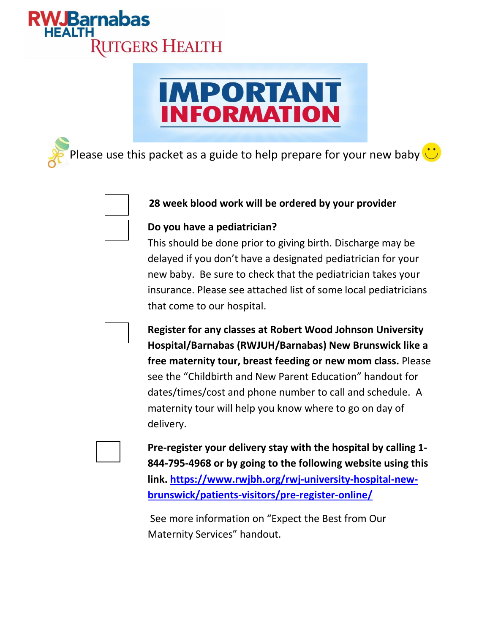

# **IMPORTANT INFORMATION**

Please use this packet as a guide to help prepare for your new baby  $\ddot{\ddot{\cdot}}$ 



## **28 week blood work will be ordered by your provider**

### **Do you have a pediatrician?**

This should be done prior to giving birth. Discharge may be delayed if you don't have a designated pediatrician for your new baby. Be sure to check that the pediatrician takes your insurance. Please see attached list of some local pediatricians that come to our hospital.

**Register for any classes at Robert Wood Johnson University Hospital/Barnabas (RWJUH/Barnabas) New Brunswick like a free maternity tour, breast feeding or new mom class.** Please see the "Childbirth and New Parent Education" handout for dates/times/cost and phone number to call and schedule. A maternity tour will help you know where to go on day of delivery.

**Pre-register your delivery stay with the hospital by calling 1- 844-795-4968 or by going to the following website using this link. [https://www.rwjbh.org/rwj-university-hospital-new](https://www.rwjbh.org/rwj-university-hospital-new-brunswick/patients-visitors/pre-register-online/)[brunswick/patients-visitors/pre-register-online/](https://www.rwjbh.org/rwj-university-hospital-new-brunswick/patients-visitors/pre-register-online/)**

See more information on "Expect the Best from Our Maternity Services" handout.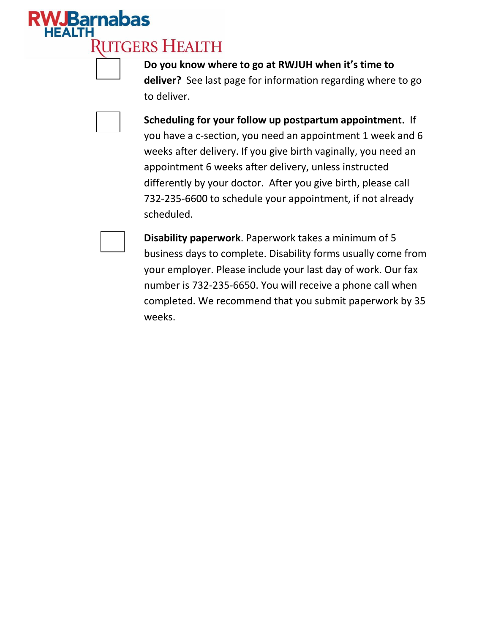# **JBarnabas RUTGERS HEALTH**

**Do you know where to go at RWJUH when it's time to deliver?** See last page for information regarding where to go to deliver.



**Scheduling for your follow up postpartum appointment.** If you have a c-section, you need an appointment 1 week and 6 weeks after delivery. If you give birth vaginally, you need an appointment 6 weeks after delivery, unless instructed differently by your doctor. After you give birth, please call 732-235-6600 to schedule your appointment, if not already scheduled.

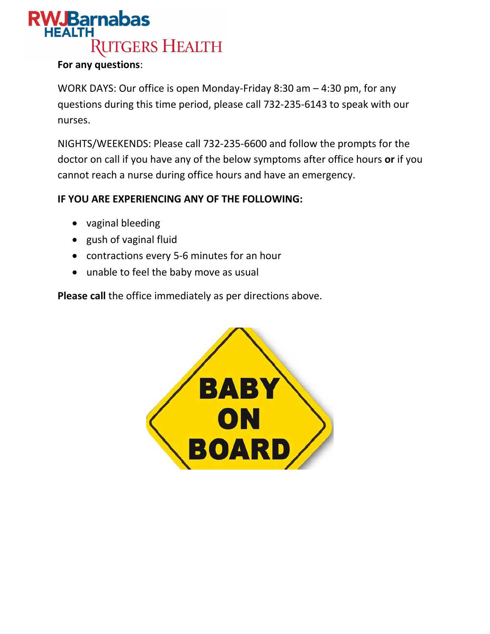## **WJBarnabas RUTGERS HEALTH**

### **For any questions**:

WORK DAYS: Our office is open Monday-Friday 8:30 am – 4:30 pm, for any questions during this time period, please call 732-235-6143 to speak with our nurses.

NIGHTS/WEEKENDS: Please call 732-235-6600 and follow the prompts for the doctor on call if you have any of the below symptoms after office hours **or** if you cannot reach a nurse during office hours and have an emergency.

## **IF YOU ARE EXPERIENCING ANY OF THE FOLLOWING:**

- vaginal bleeding
- gush of vaginal fluid
- contractions every 5-6 minutes for an hour
- unable to feel the baby move as usual

**Please call** the office immediately as per directions above.